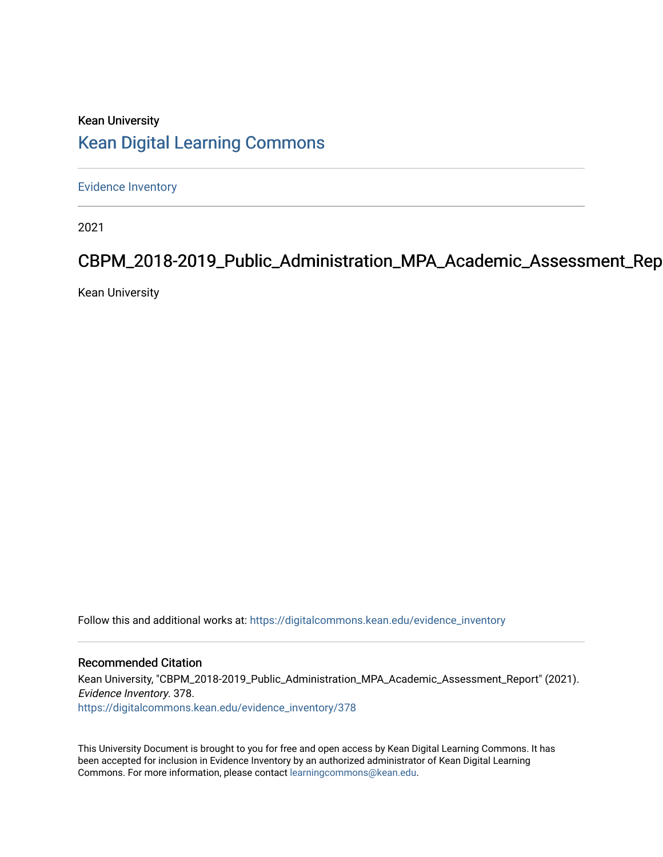# Kean University [Kean Digital Learning Commons](https://digitalcommons.kean.edu/)

[Evidence Inventory](https://digitalcommons.kean.edu/evidence_inventory) 

2021

# CBPM\_2018-2019\_Public\_Administration\_MPA\_Academic\_Assessment\_Rep

Kean University

Follow this and additional works at: [https://digitalcommons.kean.edu/evidence\\_inventory](https://digitalcommons.kean.edu/evidence_inventory?utm_source=digitalcommons.kean.edu%2Fevidence_inventory%2F378&utm_medium=PDF&utm_campaign=PDFCoverPages)

#### Recommended Citation

Kean University, "CBPM\_2018-2019\_Public\_Administration\_MPA\_Academic\_Assessment\_Report" (2021). Evidence Inventory. 378. [https://digitalcommons.kean.edu/evidence\\_inventory/378](https://digitalcommons.kean.edu/evidence_inventory/378?utm_source=digitalcommons.kean.edu%2Fevidence_inventory%2F378&utm_medium=PDF&utm_campaign=PDFCoverPages)

This University Document is brought to you for free and open access by Kean Digital Learning Commons. It has been accepted for inclusion in Evidence Inventory by an authorized administrator of Kean Digital Learning Commons. For more information, please contact [learningcommons@kean.edu.](mailto:learningcommons@kean.edu)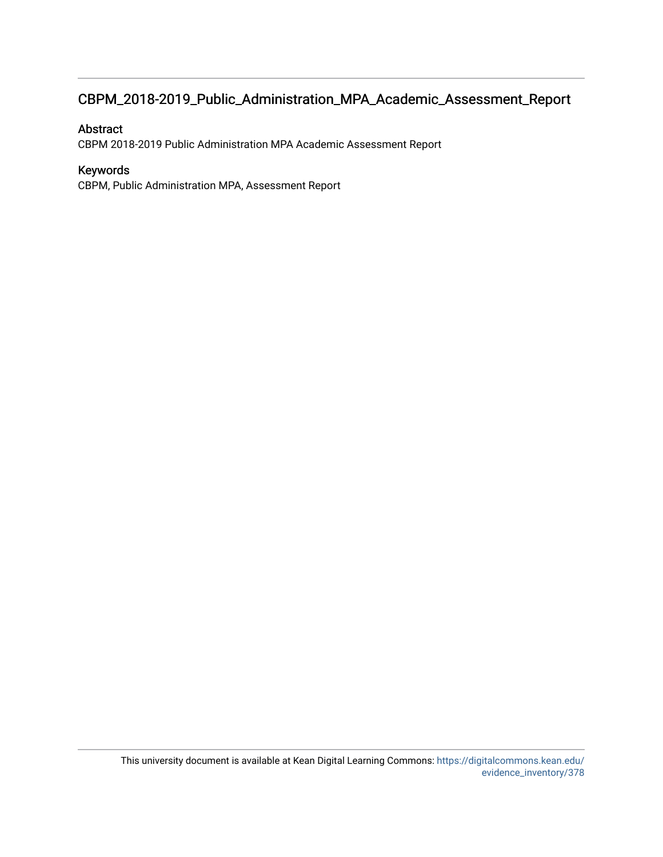# CBPM\_2018-2019\_Public\_Administration\_MPA\_Academic\_Assessment\_Report

#### Abstract

CBPM 2018-2019 Public Administration MPA Academic Assessment Report

#### Keywords

CBPM, Public Administration MPA, Assessment Report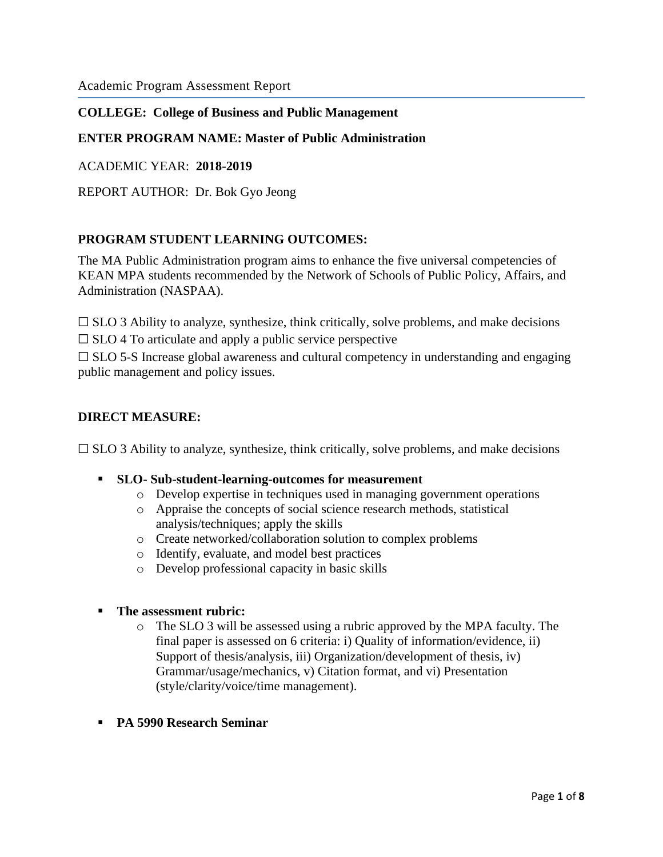## **COLLEGE: College of Business and Public Management**

## **ENTER PROGRAM NAME: Master of Public Administration**

ACADEMIC YEAR: **2018-2019**

REPORT AUTHOR: Dr. Bok Gyo Jeong

#### **PROGRAM STUDENT LEARNING OUTCOMES:**

The MA Public Administration program aims to enhance the five universal competencies of KEAN MPA students recommended by the Network of Schools of Public Policy, Affairs, and Administration (NASPAA).

 $\Box$  SLO 3 Ability to analyze, synthesize, think critically, solve problems, and make decisions

 $\Box$  SLO 4 To articulate and apply a public service perspective

 $\Box$  SLO 5-S Increase global awareness and cultural competency in understanding and engaging public management and policy issues.

#### **DIRECT MEASURE:**

 $\Box$  SLO 3 Ability to analyze, synthesize, think critically, solve problems, and make decisions

- **SLO- Sub-student-learning-outcomes for measurement**
	- o Develop expertise in techniques used in managing government operations
	- o Appraise the concepts of social science research methods, statistical analysis/techniques; apply the skills
	- o Create networked/collaboration solution to complex problems
	- o Identify, evaluate, and model best practices
	- o Develop professional capacity in basic skills

#### ▪ **The assessment rubric:**

- o The SLO 3 will be assessed using a rubric approved by the MPA faculty. The final paper is assessed on 6 criteria: i) Quality of information/evidence, ii) Support of thesis/analysis, iii) Organization/development of thesis, iv) Grammar/usage/mechanics, v) Citation format, and vi) Presentation (style/clarity/voice/time management).
- **PA 5990 Research Seminar**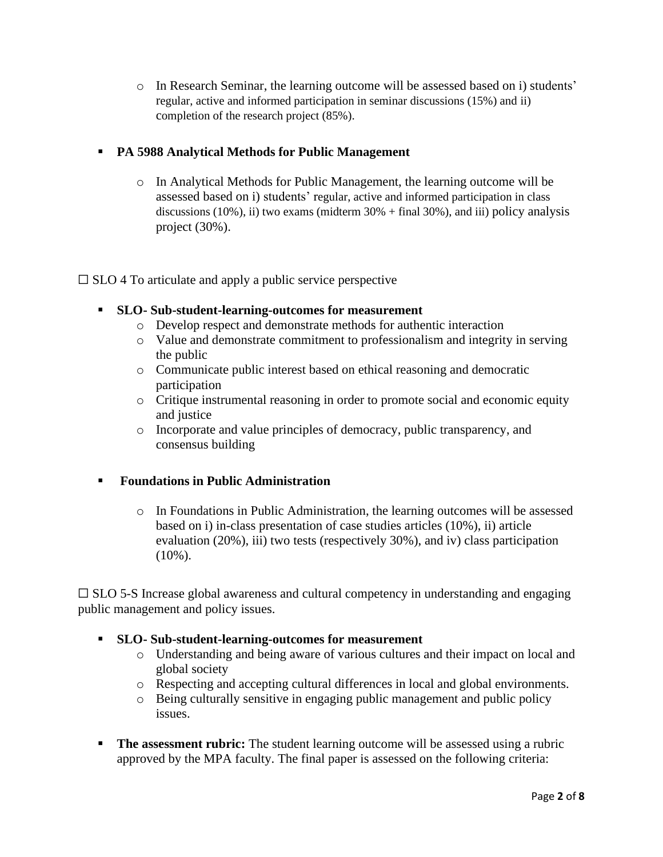o In Research Seminar, the learning outcome will be assessed based on i) students' regular, active and informed participation in seminar discussions (15%) and ii) completion of the research project (85%).

# ▪ **PA 5988 Analytical Methods for Public Management**

o In Analytical Methods for Public Management, the learning outcome will be assessed based on i) students' regular, active and informed participation in class discussions (10%), ii) two exams (midterm 30% + final 30%), and iii) policy analysis project (30%).

 $\square$  SLO 4 To articulate and apply a public service perspective

- **SLO- Sub-student-learning-outcomes for measurement**
	- o Develop respect and demonstrate methods for authentic interaction
	- o Value and demonstrate commitment to professionalism and integrity in serving the public
	- o Communicate public interest based on ethical reasoning and democratic participation
	- o Critique instrumental reasoning in order to promote social and economic equity and justice
	- o Incorporate and value principles of democracy, public transparency, and consensus building

# ▪ **Foundations in Public Administration**

o In Foundations in Public Administration, the learning outcomes will be assessed based on i) in-class presentation of case studies articles (10%), ii) article evaluation (20%), iii) two tests (respectively 30%), and iv) class participation  $(10\%)$ .

 $\Box$  SLO 5-S Increase global awareness and cultural competency in understanding and engaging public management and policy issues.

# ▪ **SLO- Sub-student-learning-outcomes for measurement**

- o Understanding and being aware of various cultures and their impact on local and global society
- o Respecting and accepting cultural differences in local and global environments.
- o Being culturally sensitive in engaging public management and public policy issues.
- **The assessment rubric:** The student learning outcome will be assessed using a rubric approved by the MPA faculty. The final paper is assessed on the following criteria: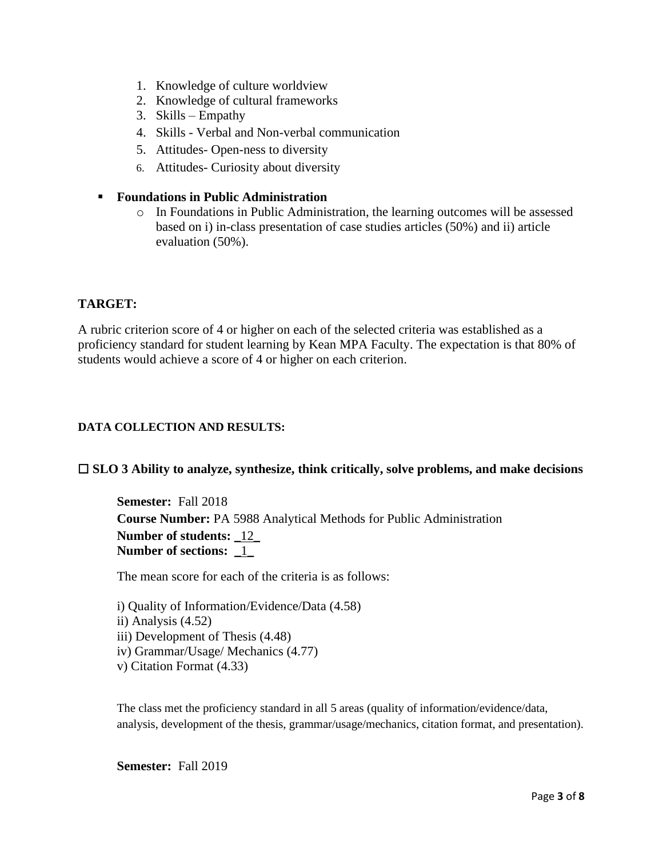- 1. Knowledge of culture worldview
- 2. Knowledge of cultural frameworks
- 3. Skills Empathy
- 4. Skills Verbal and Non-verbal communication
- 5. Attitudes- Open-ness to diversity
- 6. Attitudes- Curiosity about diversity

#### ▪ **Foundations in Public Administration**

o In Foundations in Public Administration, the learning outcomes will be assessed based on i) in-class presentation of case studies articles (50%) and ii) article evaluation (50%).

## **TARGET:**

A rubric criterion score of 4 or higher on each of the selected criteria was established as a proficiency standard for student learning by Kean MPA Faculty. The expectation is that 80% of students would achieve a score of 4 or higher on each criterion.

#### **DATA COLLECTION AND RESULTS:**

#### ☐ **SLO 3 Ability to analyze, synthesize, think critically, solve problems, and make decisions**

**Semester:** Fall 2018 **Course Number:** PA 5988 Analytical Methods for Public Administration **Number of students:** \_12\_ **Number of sections:** \_1\_

The mean score for each of the criteria is as follows:

| i) Quality of Information/Evidence/Data (4.58) |
|------------------------------------------------|
| ii) Analysis $(4.52)$                          |
| iii) Development of Thesis (4.48)              |
| iv) Grammar/Usage/ Mechanics (4.77)            |
| v) Citation Format (4.33)                      |

The class met the proficiency standard in all 5 areas (quality of information/evidence/data, analysis, development of the thesis, grammar/usage/mechanics, citation format, and presentation).

**Semester:** Fall 2019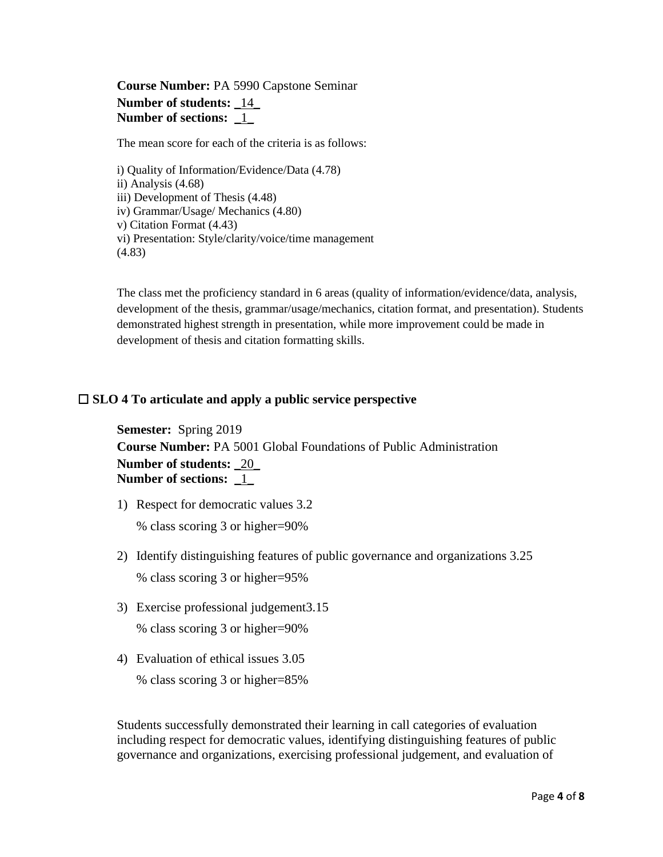# **Course Number:** PA 5990 Capstone Seminar **Number of students:** \_14\_ **Number of sections:**  $\frac{1}{2}$

The mean score for each of the criteria is as follows:

i) Quality of Information/Evidence/Data (4.78) ii) Analysis (4.68) iii) Development of Thesis (4.48) iv) Grammar/Usage/ Mechanics (4.80) v) Citation Format (4.43) vi) Presentation: Style/clarity/voice/time management (4.83)

The class met the proficiency standard in 6 areas (quality of information/evidence/data, analysis, development of the thesis, grammar/usage/mechanics, citation format, and presentation). Students demonstrated highest strength in presentation, while more improvement could be made in development of thesis and citation formatting skills.

#### ☐ **SLO 4 To articulate and apply a public service perspective**

**Semester:** Spring 2019 **Course Number:** PA 5001 Global Foundations of Public Administration **Number of students:** \_20\_ **Number of sections:** \_1\_

- 1) Respect for democratic values 3.2 % class scoring 3 or higher=90%
- 2) Identify distinguishing features of public governance and organizations 3.25 % class scoring 3 or higher=95%
- 3) Exercise professional judgement3.15 % class scoring 3 or higher=90%
- 4) Evaluation of ethical issues 3.05 % class scoring 3 or higher=85%

Students successfully demonstrated their learning in call categories of evaluation including respect for democratic values, identifying distinguishing features of public governance and organizations, exercising professional judgement, and evaluation of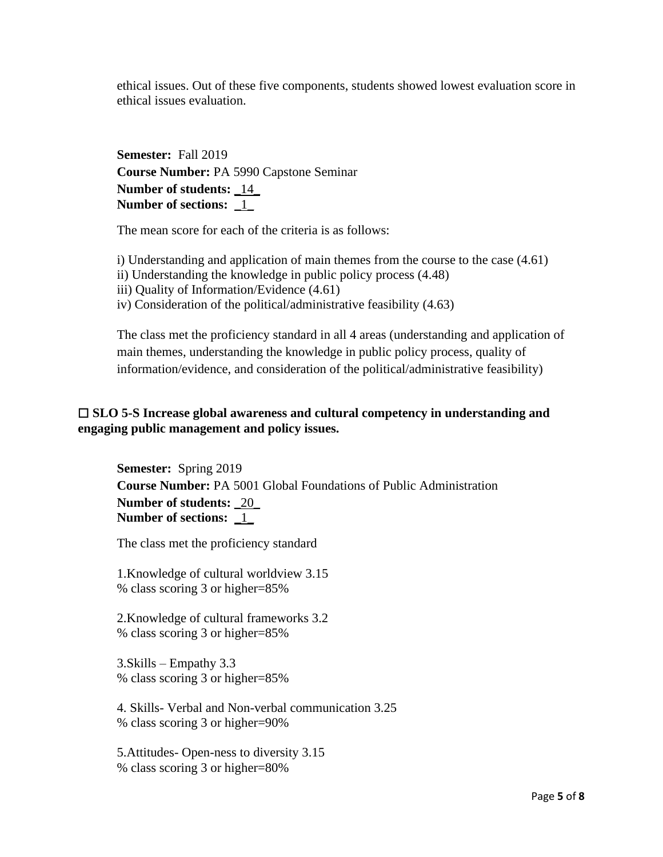ethical issues. Out of these five components, students showed lowest evaluation score in ethical issues evaluation.

**Semester:** Fall 2019 **Course Number:** PA 5990 Capstone Seminar **Number of students:** \_14\_ **Number of sections:** \_1\_

The mean score for each of the criteria is as follows:

i) Understanding and application of main themes from the course to the case (4.61)

ii) Understanding the knowledge in public policy process (4.48)

iii) Quality of Information/Evidence (4.61)

iv) Consideration of the political/administrative feasibility (4.63)

The class met the proficiency standard in all 4 areas (understanding and application of main themes, understanding the knowledge in public policy process, quality of information/evidence, and consideration of the political/administrative feasibility)

### ☐ **SLO 5-S Increase global awareness and cultural competency in understanding and engaging public management and policy issues.**

**Semester:** Spring 2019 **Course Number:** PA 5001 Global Foundations of Public Administration **Number of students:** \_20\_ **Number of sections:** \_1\_

The class met the proficiency standard

1.Knowledge of cultural worldview 3.15 % class scoring 3 or higher=85%

2.Knowledge of cultural frameworks 3.2 % class scoring 3 or higher=85%

3.Skills – Empathy 3.3 % class scoring 3 or higher=85%

4. Skills- Verbal and Non-verbal communication 3.25 % class scoring 3 or higher=90%

5.Attitudes- Open-ness to diversity 3.15 % class scoring 3 or higher=80%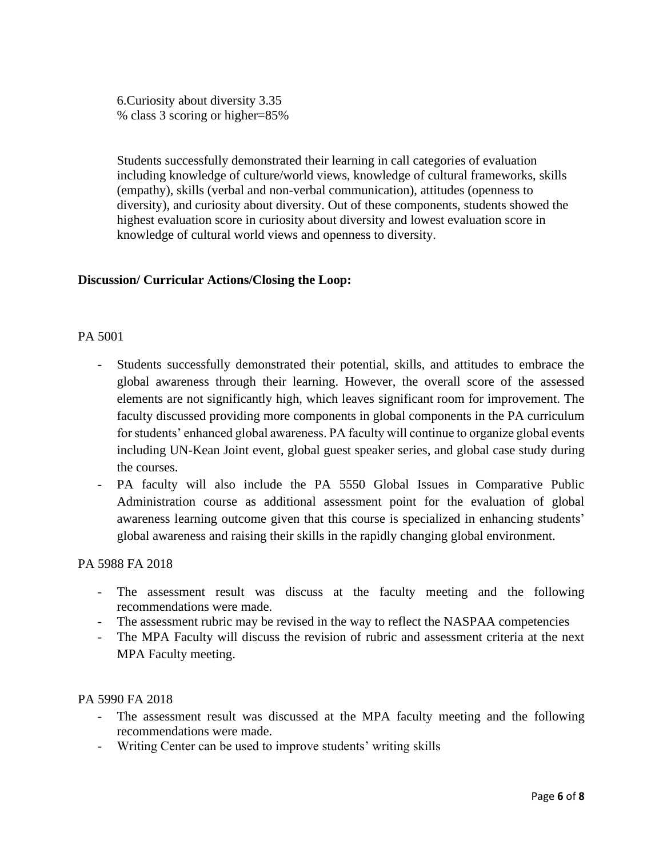6.Curiosity about diversity 3.35 % class 3 scoring or higher=85%

Students successfully demonstrated their learning in call categories of evaluation including knowledge of culture/world views, knowledge of cultural frameworks, skills (empathy), skills (verbal and non-verbal communication), attitudes (openness to diversity), and curiosity about diversity. Out of these components, students showed the highest evaluation score in curiosity about diversity and lowest evaluation score in knowledge of cultural world views and openness to diversity.

## **Discussion/ Curricular Actions/Closing the Loop:**

#### PA 5001

- Students successfully demonstrated their potential, skills, and attitudes to embrace the global awareness through their learning. However, the overall score of the assessed elements are not significantly high, which leaves significant room for improvement. The faculty discussed providing more components in global components in the PA curriculum for students' enhanced global awareness. PA faculty will continue to organize global events including UN-Kean Joint event, global guest speaker series, and global case study during the courses.
- PA faculty will also include the PA 5550 Global Issues in Comparative Public Administration course as additional assessment point for the evaluation of global awareness learning outcome given that this course is specialized in enhancing students' global awareness and raising their skills in the rapidly changing global environment.

#### PA 5988 FA 2018

- The assessment result was discuss at the faculty meeting and the following recommendations were made.
- The assessment rubric may be revised in the way to reflect the NASPAA competencies
- The MPA Faculty will discuss the revision of rubric and assessment criteria at the next MPA Faculty meeting.

#### PA 5990 FA 2018

- The assessment result was discussed at the MPA faculty meeting and the following recommendations were made.
- Writing Center can be used to improve students' writing skills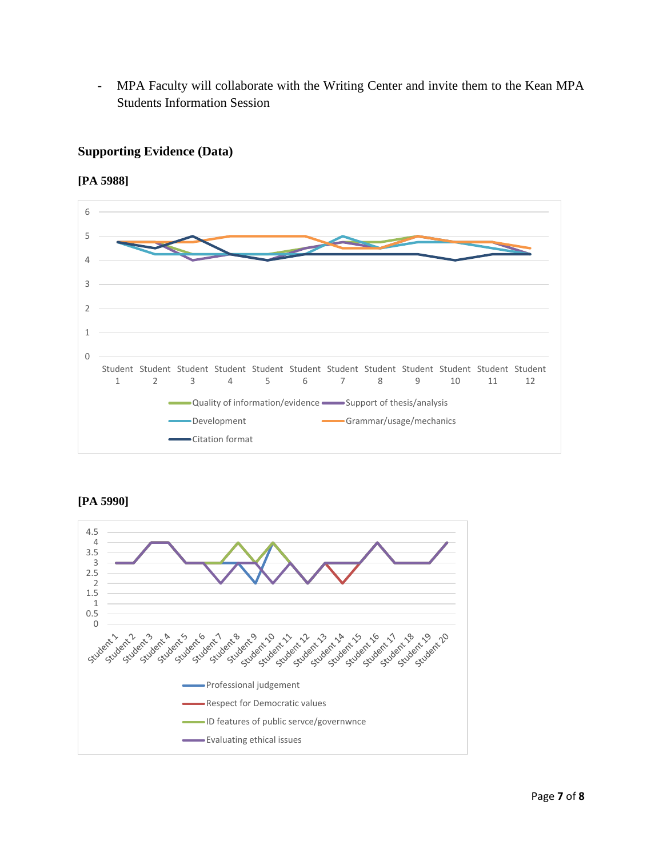- MPA Faculty will collaborate with the Writing Center and invite them to the Kean MPA Students Information Session

# **Supporting Evidence (Data)**

**[PA 5988]** 



**[PA 5990]**